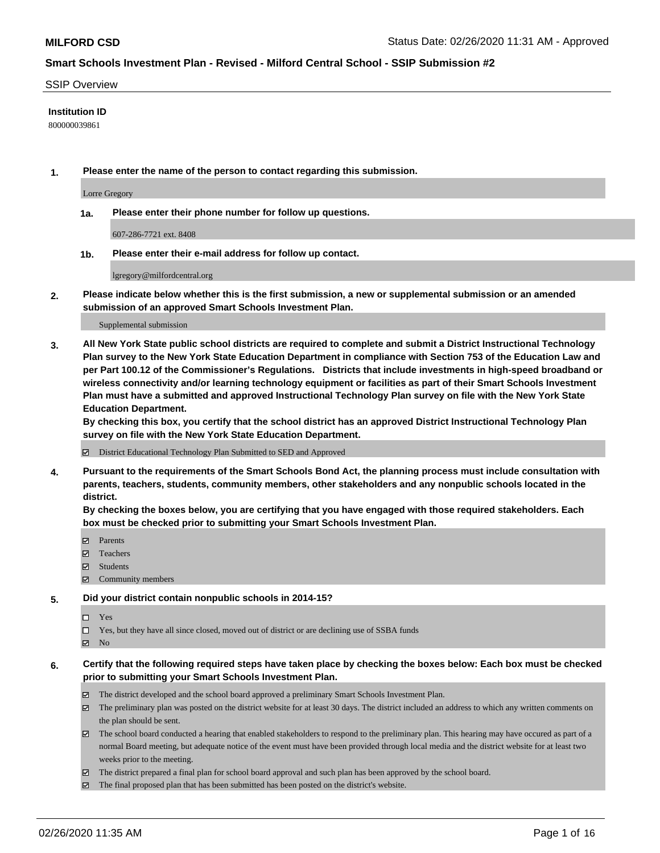#### SSIP Overview

#### **Institution ID**

800000039861

**1. Please enter the name of the person to contact regarding this submission.**

Lorre Gregory

**1a. Please enter their phone number for follow up questions.**

607-286-7721 ext. 8408

**1b. Please enter their e-mail address for follow up contact.**

lgregory@milfordcentral.org

**2. Please indicate below whether this is the first submission, a new or supplemental submission or an amended submission of an approved Smart Schools Investment Plan.**

#### Supplemental submission

**3. All New York State public school districts are required to complete and submit a District Instructional Technology Plan survey to the New York State Education Department in compliance with Section 753 of the Education Law and per Part 100.12 of the Commissioner's Regulations. Districts that include investments in high-speed broadband or wireless connectivity and/or learning technology equipment or facilities as part of their Smart Schools Investment Plan must have a submitted and approved Instructional Technology Plan survey on file with the New York State Education Department.** 

**By checking this box, you certify that the school district has an approved District Instructional Technology Plan survey on file with the New York State Education Department.**

District Educational Technology Plan Submitted to SED and Approved

**4. Pursuant to the requirements of the Smart Schools Bond Act, the planning process must include consultation with parents, teachers, students, community members, other stakeholders and any nonpublic schools located in the district.** 

**By checking the boxes below, you are certifying that you have engaged with those required stakeholders. Each box must be checked prior to submitting your Smart Schools Investment Plan.**

- **マ** Parents
- Teachers
- Students
- Community members

#### **5. Did your district contain nonpublic schools in 2014-15?**

 $\neg$  Yes

Yes, but they have all since closed, moved out of district or are declining use of SSBA funds

**Z** No

### **6. Certify that the following required steps have taken place by checking the boxes below: Each box must be checked prior to submitting your Smart Schools Investment Plan.**

- The district developed and the school board approved a preliminary Smart Schools Investment Plan.
- $\boxtimes$  The preliminary plan was posted on the district website for at least 30 days. The district included an address to which any written comments on the plan should be sent.
- $\boxtimes$  The school board conducted a hearing that enabled stakeholders to respond to the preliminary plan. This hearing may have occured as part of a normal Board meeting, but adequate notice of the event must have been provided through local media and the district website for at least two weeks prior to the meeting.
- The district prepared a final plan for school board approval and such plan has been approved by the school board.
- The final proposed plan that has been submitted has been posted on the district's website.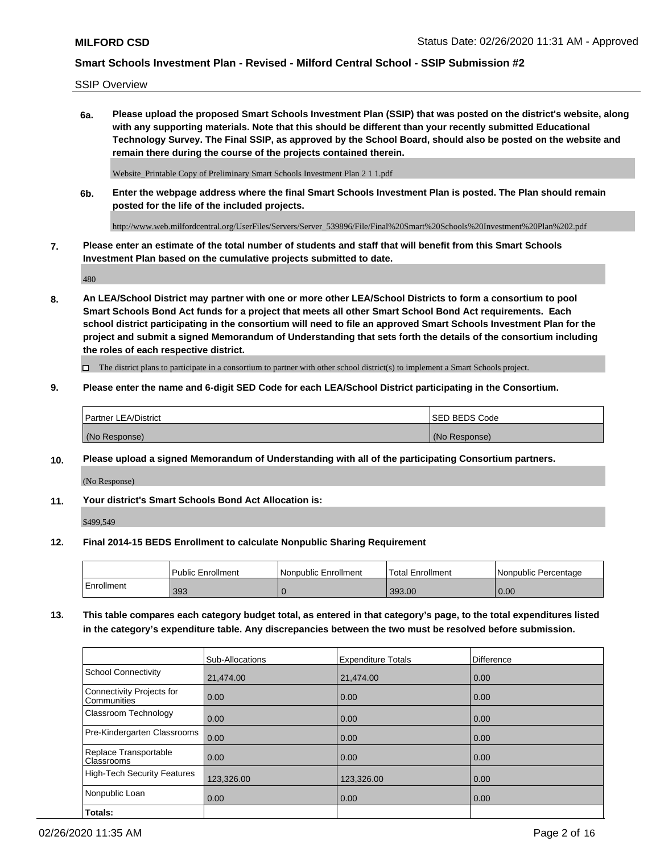SSIP Overview

**6a. Please upload the proposed Smart Schools Investment Plan (SSIP) that was posted on the district's website, along with any supporting materials. Note that this should be different than your recently submitted Educational Technology Survey. The Final SSIP, as approved by the School Board, should also be posted on the website and remain there during the course of the projects contained therein.**

Website\_Printable Copy of Preliminary Smart Schools Investment Plan 2 1 1.pdf

**6b. Enter the webpage address where the final Smart Schools Investment Plan is posted. The Plan should remain posted for the life of the included projects.**

http://www.web.milfordcentral.org/UserFiles/Servers/Server\_539896/File/Final%20Smart%20Schools%20Investment%20Plan%202.pdf

**7. Please enter an estimate of the total number of students and staff that will benefit from this Smart Schools Investment Plan based on the cumulative projects submitted to date.**

480

**8. An LEA/School District may partner with one or more other LEA/School Districts to form a consortium to pool Smart Schools Bond Act funds for a project that meets all other Smart School Bond Act requirements. Each school district participating in the consortium will need to file an approved Smart Schools Investment Plan for the project and submit a signed Memorandum of Understanding that sets forth the details of the consortium including the roles of each respective district.**

 $\Box$  The district plans to participate in a consortium to partner with other school district(s) to implement a Smart Schools project.

### **9. Please enter the name and 6-digit SED Code for each LEA/School District participating in the Consortium.**

| Partner LEA/District | <b>ISED BEDS Code</b> |
|----------------------|-----------------------|
| (No Response)        | (No Response)         |

### **10. Please upload a signed Memorandum of Understanding with all of the participating Consortium partners.**

(No Response)

**11. Your district's Smart Schools Bond Act Allocation is:**

\$499,549

#### **12. Final 2014-15 BEDS Enrollment to calculate Nonpublic Sharing Requirement**

|            | Public Enrollment | Nonpublic Enrollment | Total Enrollment | I Nonpublic Percentage |
|------------|-------------------|----------------------|------------------|------------------------|
| Enrollment | 393               |                      | 393.00           | 0.00                   |

**13. This table compares each category budget total, as entered in that category's page, to the total expenditures listed in the category's expenditure table. Any discrepancies between the two must be resolved before submission.**

|                                          | Sub-Allocations | <b>Expenditure Totals</b> | <b>Difference</b> |
|------------------------------------------|-----------------|---------------------------|-------------------|
| <b>School Connectivity</b>               | 21,474.00       | 21,474.00                 | 0.00              |
| Connectivity Projects for<br>Communities | 0.00            | 0.00                      | 0.00              |
| Classroom Technology                     | 0.00            | 0.00                      | 0.00              |
| Pre-Kindergarten Classrooms              | 0.00            | 0.00                      | 0.00              |
| Replace Transportable<br>Classrooms      | 0.00            | 0.00                      | 0.00              |
| High-Tech Security Features              | 123,326.00      | 123,326.00                | 0.00              |
| Nonpublic Loan                           | 0.00            | 0.00                      | 0.00              |
| Totals:                                  |                 |                           |                   |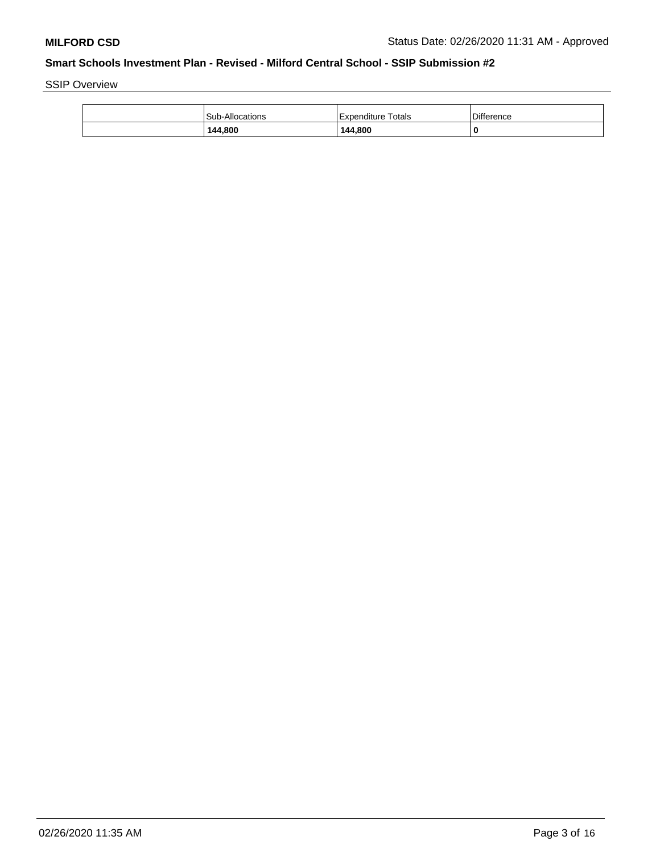SSIP Overview

| <b>Sub-Allocations</b> | Expenditure Totals | <b>Difference</b> |
|------------------------|--------------------|-------------------|
| 144.800                | 144.800            | 0                 |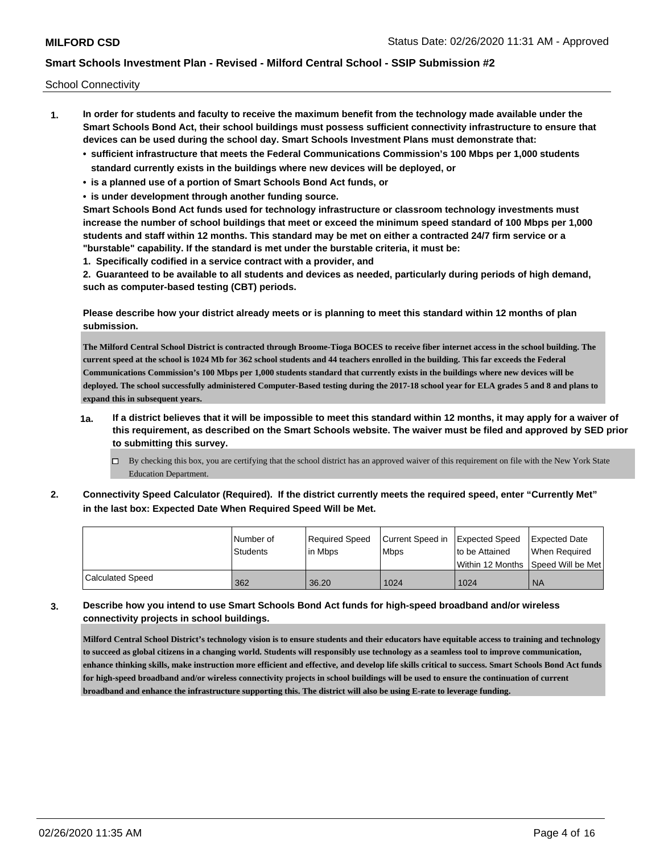School Connectivity

- **1. In order for students and faculty to receive the maximum benefit from the technology made available under the Smart Schools Bond Act, their school buildings must possess sufficient connectivity infrastructure to ensure that devices can be used during the school day. Smart Schools Investment Plans must demonstrate that:**
	- **• sufficient infrastructure that meets the Federal Communications Commission's 100 Mbps per 1,000 students standard currently exists in the buildings where new devices will be deployed, or**
	- **• is a planned use of a portion of Smart Schools Bond Act funds, or**
	- **• is under development through another funding source.**

**Smart Schools Bond Act funds used for technology infrastructure or classroom technology investments must increase the number of school buildings that meet or exceed the minimum speed standard of 100 Mbps per 1,000 students and staff within 12 months. This standard may be met on either a contracted 24/7 firm service or a "burstable" capability. If the standard is met under the burstable criteria, it must be:**

**1. Specifically codified in a service contract with a provider, and**

**2. Guaranteed to be available to all students and devices as needed, particularly during periods of high demand, such as computer-based testing (CBT) periods.**

**Please describe how your district already meets or is planning to meet this standard within 12 months of plan submission.**

**The Milford Central School District is contracted through Broome-Tioga BOCES to receive fiber internet access in the school building. The current speed at the school is 1024 Mb for 362 school students and 44 teachers enrolled in the building. This far exceeds the Federal Communications Commission's 100 Mbps per 1,000 students standard that currently exists in the buildings where new devices will be deployed. The school successfully administered Computer-Based testing during the 2017-18 school year for ELA grades 5 and 8 and plans to expand this in subsequent years.**

- **1a. If a district believes that it will be impossible to meet this standard within 12 months, it may apply for a waiver of this requirement, as described on the Smart Schools website. The waiver must be filed and approved by SED prior to submitting this survey.**
	- By checking this box, you are certifying that the school district has an approved waiver of this requirement on file with the New York State Education Department.
- **2. Connectivity Speed Calculator (Required). If the district currently meets the required speed, enter "Currently Met" in the last box: Expected Date When Required Speed Will be Met.**

|                         | l Number of     | Required Speed | Current Speed in Expected Speed |                | <b>Expected Date</b>                    |
|-------------------------|-----------------|----------------|---------------------------------|----------------|-----------------------------------------|
|                         | <b>Students</b> | lin Mbps       | <b>Mbps</b>                     | to be Attained | When Required                           |
|                         |                 |                |                                 |                | l Within 12 Months ISpeed Will be Met l |
| <b>Calculated Speed</b> | 362             | 36.20          | 1024                            | 1024           | <b>NA</b>                               |

**3. Describe how you intend to use Smart Schools Bond Act funds for high-speed broadband and/or wireless connectivity projects in school buildings.**

**Milford Central School District's technology vision is to ensure students and their educators have equitable access to training and technology to succeed as global citizens in a changing world. Students will responsibly use technology as a seamless tool to improve communication, enhance thinking skills, make instruction more efficient and effective, and develop life skills critical to success. Smart Schools Bond Act funds for high-speed broadband and/or wireless connectivity projects in school buildings will be used to ensure the continuation of current broadband and enhance the infrastructure supporting this. The district will also be using E-rate to leverage funding.**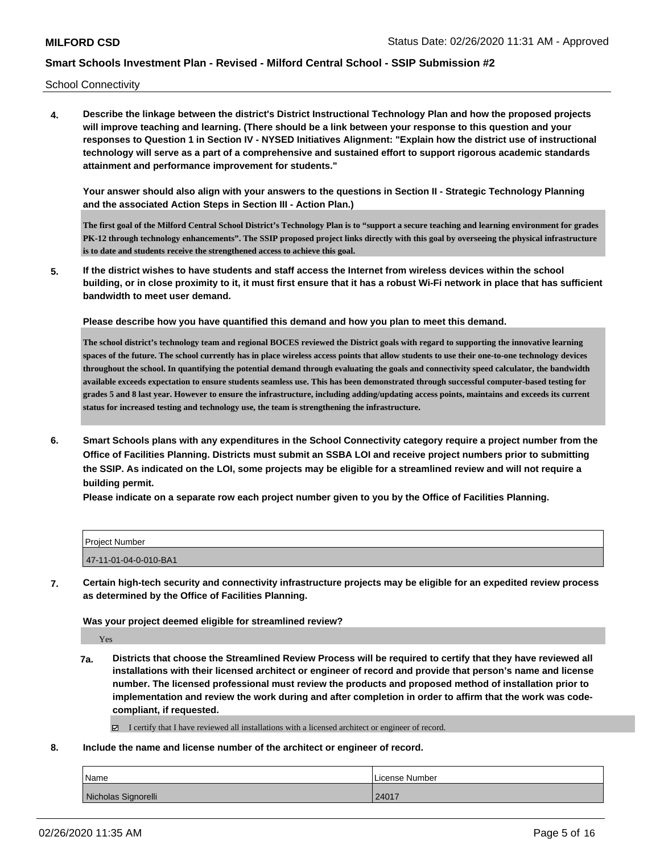School Connectivity

**4. Describe the linkage between the district's District Instructional Technology Plan and how the proposed projects will improve teaching and learning. (There should be a link between your response to this question and your responses to Question 1 in Section IV - NYSED Initiatives Alignment: "Explain how the district use of instructional technology will serve as a part of a comprehensive and sustained effort to support rigorous academic standards attainment and performance improvement for students."** 

**Your answer should also align with your answers to the questions in Section II - Strategic Technology Planning and the associated Action Steps in Section III - Action Plan.)**

**The first goal of the Milford Central School District's Technology Plan is to "support a secure teaching and learning environment for grades PK-12 through technology enhancements". The SSIP proposed project links directly with this goal by overseeing the physical infrastructure is to date and students receive the strengthened access to achieve this goal.**

**5. If the district wishes to have students and staff access the Internet from wireless devices within the school building, or in close proximity to it, it must first ensure that it has a robust Wi-Fi network in place that has sufficient bandwidth to meet user demand.**

**Please describe how you have quantified this demand and how you plan to meet this demand.**

**The school district's technology team and regional BOCES reviewed the District goals with regard to supporting the innovative learning spaces of the future. The school currently has in place wireless access points that allow students to use their one-to-one technology devices throughout the school. In quantifying the potential demand through evaluating the goals and connectivity speed calculator, the bandwidth available exceeds expectation to ensure students seamless use. This has been demonstrated through successful computer-based testing for grades 5 and 8 last year. However to ensure the infrastructure, including adding/updating access points, maintains and exceeds its current status for increased testing and technology use, the team is strengthening the infrastructure.**

**6. Smart Schools plans with any expenditures in the School Connectivity category require a project number from the Office of Facilities Planning. Districts must submit an SSBA LOI and receive project numbers prior to submitting the SSIP. As indicated on the LOI, some projects may be eligible for a streamlined review and will not require a building permit.**

**Please indicate on a separate row each project number given to you by the Office of Facilities Planning.**

| Project Number        |  |
|-----------------------|--|
| 47-11-01-04-0-010-BA1 |  |

**7. Certain high-tech security and connectivity infrastructure projects may be eligible for an expedited review process as determined by the Office of Facilities Planning.**

**Was your project deemed eligible for streamlined review?**

Yes

**7a. Districts that choose the Streamlined Review Process will be required to certify that they have reviewed all installations with their licensed architect or engineer of record and provide that person's name and license number. The licensed professional must review the products and proposed method of installation prior to implementation and review the work during and after completion in order to affirm that the work was codecompliant, if requested.**

I certify that I have reviewed all installations with a licensed architect or engineer of record.

#### **8. Include the name and license number of the architect or engineer of record.**

| Name                | License Number |
|---------------------|----------------|
| Nicholas Signorelli | 24017          |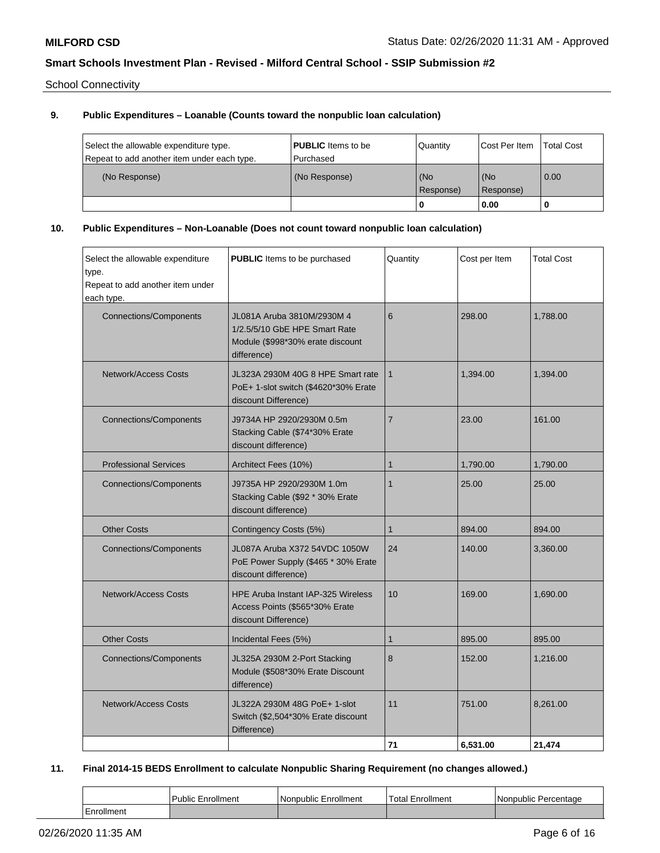School Connectivity

# **9. Public Expenditures – Loanable (Counts toward the nonpublic loan calculation)**

| Select the allowable expenditure type.<br>Repeat to add another item under each type. | <b>PUBLIC</b> Items to be<br>l Purchased | Quantity         | Cost Per Item      | <b>Total Cost</b> |
|---------------------------------------------------------------------------------------|------------------------------------------|------------------|--------------------|-------------------|
| (No Response)                                                                         | (No Response)                            | (No<br>Response) | l (No<br>Response) | 0.00              |
|                                                                                       |                                          | u                | 0.00               |                   |

# **10. Public Expenditures – Non-Loanable (Does not count toward nonpublic loan calculation)**

| Select the allowable expenditure<br>type.<br>Repeat to add another item under<br>each type. | <b>PUBLIC</b> Items to be purchased                                                                            | Quantity       | Cost per Item | <b>Total Cost</b> |
|---------------------------------------------------------------------------------------------|----------------------------------------------------------------------------------------------------------------|----------------|---------------|-------------------|
| <b>Connections/Components</b>                                                               | JL081A Aruba 3810M/2930M 4<br>1/2.5/5/10 GbE HPE Smart Rate<br>Module (\$998*30% erate discount<br>difference) | 6              | 298.00        | 1,788.00          |
| <b>Network/Access Costs</b>                                                                 | JL323A 2930M 40G 8 HPE Smart rate<br>PoE+ 1-slot switch (\$4620*30% Erate<br>discount Difference)              | $\mathbf{1}$   | 1,394.00      | 1,394.00          |
| <b>Connections/Components</b>                                                               | J9734A HP 2920/2930M 0.5m<br>Stacking Cable (\$74*30% Erate<br>discount difference)                            | $\overline{7}$ | 23.00         | 161.00            |
| <b>Professional Services</b>                                                                | Architect Fees (10%)                                                                                           | $\mathbf{1}$   | 1,790.00      | 1,790.00          |
| <b>Connections/Components</b>                                                               | J9735A HP 2920/2930M 1.0m<br>Stacking Cable (\$92 * 30% Erate<br>discount difference)                          | $\mathbf{1}$   | 25.00         | 25.00             |
| <b>Other Costs</b>                                                                          | Contingency Costs (5%)                                                                                         | $\mathbf{1}$   | 894.00        | 894.00            |
| <b>Connections/Components</b>                                                               | JL087A Aruba X372 54VDC 1050W<br>PoE Power Supply (\$465 * 30% Erate<br>discount difference)                   | 24             | 140.00        | 3,360.00          |
| <b>Network/Access Costs</b>                                                                 | HPE Aruba Instant IAP-325 Wireless<br>Access Points (\$565*30% Erate<br>discount Difference)                   | 10             | 169.00        | 1,690.00          |
| <b>Other Costs</b>                                                                          | Incidental Fees (5%)                                                                                           | $\mathbf{1}$   | 895.00        | 895.00            |
| <b>Connections/Components</b>                                                               | JL325A 2930M 2-Port Stacking<br>Module (\$508*30% Erate Discount<br>difference)                                | 8              | 152.00        | 1,216.00          |
| <b>Network/Access Costs</b>                                                                 | JL322A 2930M 48G PoE+ 1-slot<br>Switch (\$2,504*30% Erate discount<br>Difference)                              | 11             | 751.00        | 8,261.00          |
|                                                                                             |                                                                                                                | 71             | 6.531.00      | 21.474            |

### **11. Final 2014-15 BEDS Enrollment to calculate Nonpublic Sharing Requirement (no changes allowed.)**

|            | Public<br>Enrollment | l Nonpublic Enrollment | ⊺otal<br>Enrollment | l Nonpublic Percentage |
|------------|----------------------|------------------------|---------------------|------------------------|
| Enrollment |                      |                        |                     |                        |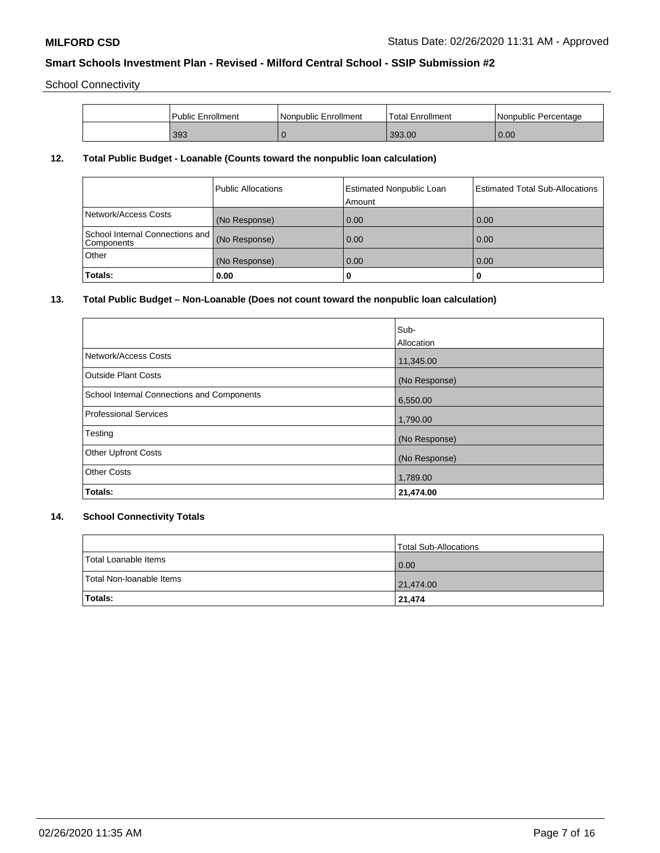School Connectivity

| Public Enrollment | Nonpublic Enrollment | 'Total Enrollment | Nonpublic Percentage |
|-------------------|----------------------|-------------------|----------------------|
| 393               |                      | 393.00            | 0.00                 |

# **12. Total Public Budget - Loanable (Counts toward the nonpublic loan calculation)**

|                                                 | Public Allocations | <b>Estimated Nonpublic Loan</b><br>Amount | <b>Estimated Total Sub-Allocations</b> |
|-------------------------------------------------|--------------------|-------------------------------------------|----------------------------------------|
| Network/Access Costs                            | (No Response)      | 0.00                                      | 0.00                                   |
| School Internal Connections and  <br>Components | (No Response)      | 0.00                                      | 0.00                                   |
| Other                                           | (No Response)      | 0.00                                      | 0.00                                   |
| Totals:                                         | 0.00               | 0                                         |                                        |

## **13. Total Public Budget – Non-Loanable (Does not count toward the nonpublic loan calculation)**

|                                            | Sub-<br>Allocation |
|--------------------------------------------|--------------------|
| Network/Access Costs                       | 11,345.00          |
| <b>Outside Plant Costs</b>                 | (No Response)      |
| School Internal Connections and Components | 6,550.00           |
| Professional Services                      | 1,790.00           |
| Testing                                    | (No Response)      |
| <b>Other Upfront Costs</b>                 | (No Response)      |
| <b>Other Costs</b>                         | 1,789.00           |
| Totals:                                    | 21,474.00          |

# **14. School Connectivity Totals**

|                          | Total Sub-Allocations |
|--------------------------|-----------------------|
| Total Loanable Items     | 0.00                  |
| Total Non-Ioanable Items | 21,474.00             |
| <b>Totals:</b>           | 21,474                |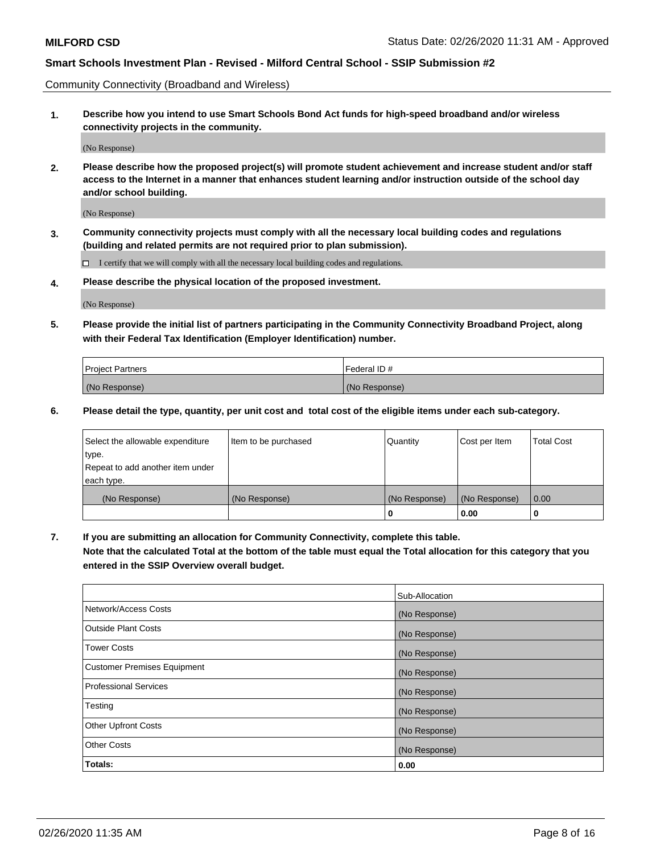Community Connectivity (Broadband and Wireless)

**1. Describe how you intend to use Smart Schools Bond Act funds for high-speed broadband and/or wireless connectivity projects in the community.**

(No Response)

**2. Please describe how the proposed project(s) will promote student achievement and increase student and/or staff access to the Internet in a manner that enhances student learning and/or instruction outside of the school day and/or school building.**

(No Response)

**3. Community connectivity projects must comply with all the necessary local building codes and regulations (building and related permits are not required prior to plan submission).**

 $\Box$  I certify that we will comply with all the necessary local building codes and regulations.

**4. Please describe the physical location of the proposed investment.**

(No Response)

**5. Please provide the initial list of partners participating in the Community Connectivity Broadband Project, along with their Federal Tax Identification (Employer Identification) number.**

| <b>Project Partners</b> | l Federal ID # |
|-------------------------|----------------|
| (No Response)           | (No Response)  |

**6. Please detail the type, quantity, per unit cost and total cost of the eligible items under each sub-category.**

| Select the allowable expenditure | Item to be purchased | Quantity      | Cost per Item | <b>Total Cost</b> |
|----------------------------------|----------------------|---------------|---------------|-------------------|
| type.                            |                      |               |               |                   |
| Repeat to add another item under |                      |               |               |                   |
| each type.                       |                      |               |               |                   |
| (No Response)                    | (No Response)        | (No Response) | (No Response) | 0.00              |
|                                  |                      | U             | 0.00          |                   |

**7. If you are submitting an allocation for Community Connectivity, complete this table.**

**Note that the calculated Total at the bottom of the table must equal the Total allocation for this category that you entered in the SSIP Overview overall budget.**

|                                    | Sub-Allocation |
|------------------------------------|----------------|
| Network/Access Costs               | (No Response)  |
| Outside Plant Costs                | (No Response)  |
| <b>Tower Costs</b>                 | (No Response)  |
| <b>Customer Premises Equipment</b> | (No Response)  |
| <b>Professional Services</b>       | (No Response)  |
| Testing                            | (No Response)  |
| <b>Other Upfront Costs</b>         | (No Response)  |
| <b>Other Costs</b>                 | (No Response)  |
| Totals:                            | 0.00           |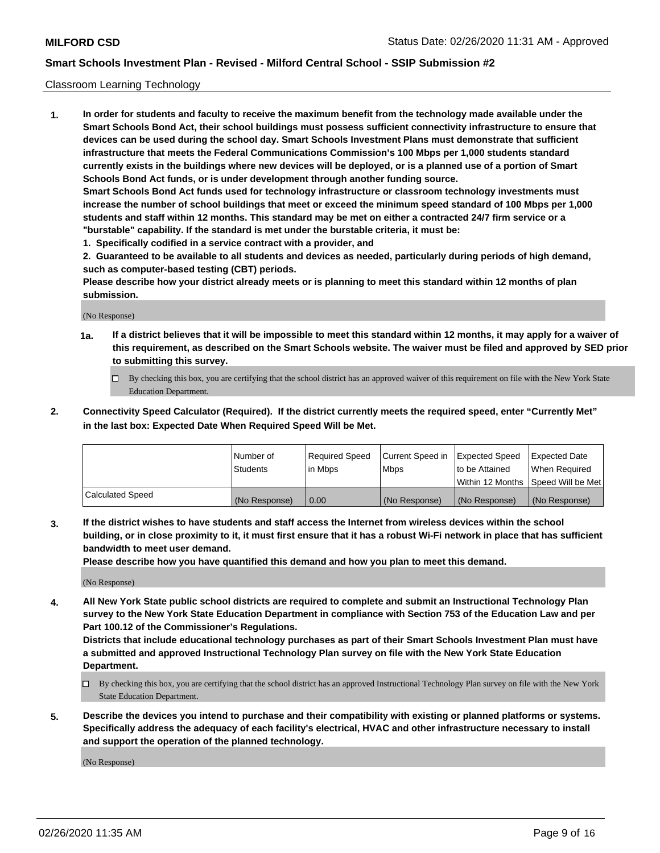#### Classroom Learning Technology

**1. In order for students and faculty to receive the maximum benefit from the technology made available under the Smart Schools Bond Act, their school buildings must possess sufficient connectivity infrastructure to ensure that devices can be used during the school day. Smart Schools Investment Plans must demonstrate that sufficient infrastructure that meets the Federal Communications Commission's 100 Mbps per 1,000 students standard currently exists in the buildings where new devices will be deployed, or is a planned use of a portion of Smart Schools Bond Act funds, or is under development through another funding source. Smart Schools Bond Act funds used for technology infrastructure or classroom technology investments must increase the number of school buildings that meet or exceed the minimum speed standard of 100 Mbps per 1,000 students and staff within 12 months. This standard may be met on either a contracted 24/7 firm service or a "burstable" capability. If the standard is met under the burstable criteria, it must be:**

**1. Specifically codified in a service contract with a provider, and**

**2. Guaranteed to be available to all students and devices as needed, particularly during periods of high demand, such as computer-based testing (CBT) periods.**

**Please describe how your district already meets or is planning to meet this standard within 12 months of plan submission.**

(No Response)

- **1a. If a district believes that it will be impossible to meet this standard within 12 months, it may apply for a waiver of this requirement, as described on the Smart Schools website. The waiver must be filed and approved by SED prior to submitting this survey.**
	- By checking this box, you are certifying that the school district has an approved waiver of this requirement on file with the New York State Education Department.
- **2. Connectivity Speed Calculator (Required). If the district currently meets the required speed, enter "Currently Met" in the last box: Expected Date When Required Speed Will be Met.**

|                  | l Number of     | Required Speed | Current Speed in | <b>Expected Speed</b> | <b>Expected Date</b>                |
|------------------|-----------------|----------------|------------------|-----------------------|-------------------------------------|
|                  | <b>Students</b> | l in Mbps      | l Mbps           | to be Attained        | When Required                       |
|                  |                 |                |                  |                       | Within 12 Months  Speed Will be Met |
| Calculated Speed | (No Response)   | 0.00           | (No Response)    | l (No Response)       | (No Response)                       |

**3. If the district wishes to have students and staff access the Internet from wireless devices within the school building, or in close proximity to it, it must first ensure that it has a robust Wi-Fi network in place that has sufficient bandwidth to meet user demand.**

**Please describe how you have quantified this demand and how you plan to meet this demand.**

(No Response)

**4. All New York State public school districts are required to complete and submit an Instructional Technology Plan survey to the New York State Education Department in compliance with Section 753 of the Education Law and per Part 100.12 of the Commissioner's Regulations.**

**Districts that include educational technology purchases as part of their Smart Schools Investment Plan must have a submitted and approved Instructional Technology Plan survey on file with the New York State Education Department.**

- By checking this box, you are certifying that the school district has an approved Instructional Technology Plan survey on file with the New York State Education Department.
- **5. Describe the devices you intend to purchase and their compatibility with existing or planned platforms or systems. Specifically address the adequacy of each facility's electrical, HVAC and other infrastructure necessary to install and support the operation of the planned technology.**

(No Response)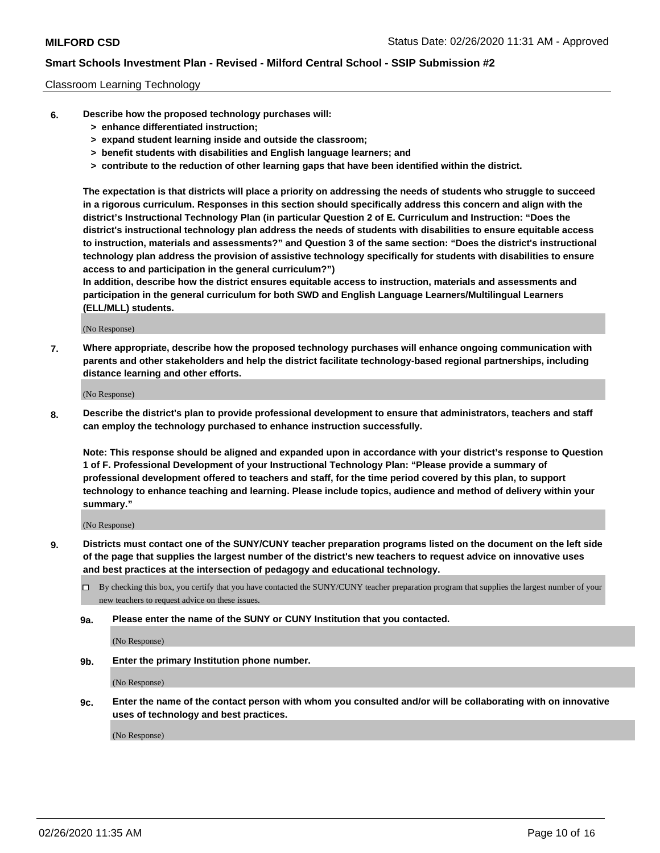#### Classroom Learning Technology

- **6. Describe how the proposed technology purchases will:**
	- **> enhance differentiated instruction;**
	- **> expand student learning inside and outside the classroom;**
	- **> benefit students with disabilities and English language learners; and**
	- **> contribute to the reduction of other learning gaps that have been identified within the district.**

**The expectation is that districts will place a priority on addressing the needs of students who struggle to succeed in a rigorous curriculum. Responses in this section should specifically address this concern and align with the district's Instructional Technology Plan (in particular Question 2 of E. Curriculum and Instruction: "Does the district's instructional technology plan address the needs of students with disabilities to ensure equitable access to instruction, materials and assessments?" and Question 3 of the same section: "Does the district's instructional technology plan address the provision of assistive technology specifically for students with disabilities to ensure access to and participation in the general curriculum?")**

**In addition, describe how the district ensures equitable access to instruction, materials and assessments and participation in the general curriculum for both SWD and English Language Learners/Multilingual Learners (ELL/MLL) students.**

(No Response)

**7. Where appropriate, describe how the proposed technology purchases will enhance ongoing communication with parents and other stakeholders and help the district facilitate technology-based regional partnerships, including distance learning and other efforts.**

(No Response)

**8. Describe the district's plan to provide professional development to ensure that administrators, teachers and staff can employ the technology purchased to enhance instruction successfully.**

**Note: This response should be aligned and expanded upon in accordance with your district's response to Question 1 of F. Professional Development of your Instructional Technology Plan: "Please provide a summary of professional development offered to teachers and staff, for the time period covered by this plan, to support technology to enhance teaching and learning. Please include topics, audience and method of delivery within your summary."**

(No Response)

- **9. Districts must contact one of the SUNY/CUNY teacher preparation programs listed on the document on the left side of the page that supplies the largest number of the district's new teachers to request advice on innovative uses and best practices at the intersection of pedagogy and educational technology.**
	- By checking this box, you certify that you have contacted the SUNY/CUNY teacher preparation program that supplies the largest number of your new teachers to request advice on these issues.
	- **9a. Please enter the name of the SUNY or CUNY Institution that you contacted.**

(No Response)

**9b. Enter the primary Institution phone number.**

(No Response)

**9c. Enter the name of the contact person with whom you consulted and/or will be collaborating with on innovative uses of technology and best practices.**

(No Response)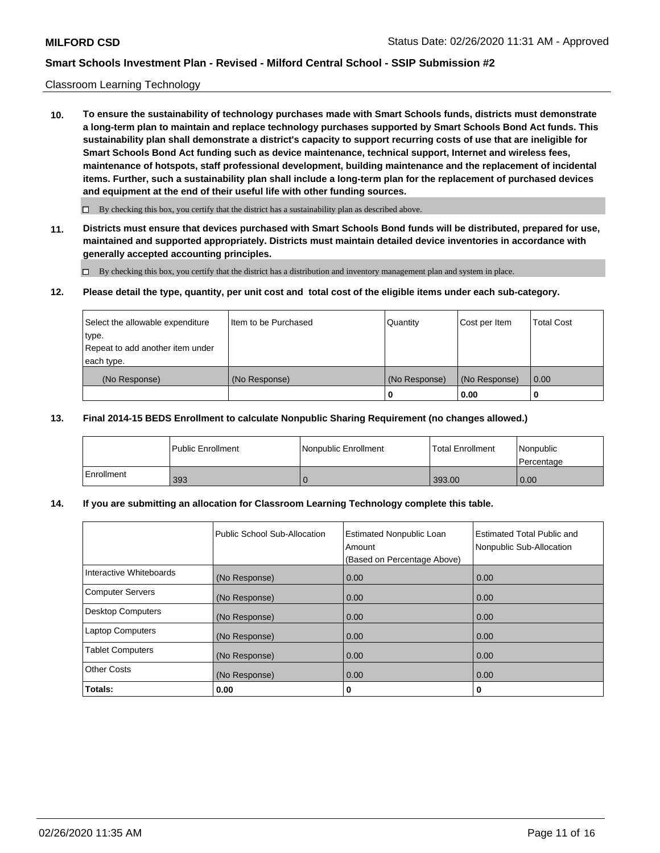#### Classroom Learning Technology

**10. To ensure the sustainability of technology purchases made with Smart Schools funds, districts must demonstrate a long-term plan to maintain and replace technology purchases supported by Smart Schools Bond Act funds. This sustainability plan shall demonstrate a district's capacity to support recurring costs of use that are ineligible for Smart Schools Bond Act funding such as device maintenance, technical support, Internet and wireless fees, maintenance of hotspots, staff professional development, building maintenance and the replacement of incidental items. Further, such a sustainability plan shall include a long-term plan for the replacement of purchased devices and equipment at the end of their useful life with other funding sources.**

 $\Box$  By checking this box, you certify that the district has a sustainability plan as described above.

**11. Districts must ensure that devices purchased with Smart Schools Bond funds will be distributed, prepared for use, maintained and supported appropriately. Districts must maintain detailed device inventories in accordance with generally accepted accounting principles.**

By checking this box, you certify that the district has a distribution and inventory management plan and system in place.

#### **12. Please detail the type, quantity, per unit cost and total cost of the eligible items under each sub-category.**

| Select the allowable expenditure<br>type.<br>Repeat to add another item under | Item to be Purchased | Quantity      | Cost per Item | <b>Total Cost</b> |
|-------------------------------------------------------------------------------|----------------------|---------------|---------------|-------------------|
| each type.<br>(No Response)                                                   | (No Response)        | (No Response) | (No Response) | 0.00              |
|                                                                               |                      | 0             | 0.00          |                   |

### **13. Final 2014-15 BEDS Enrollment to calculate Nonpublic Sharing Requirement (no changes allowed.)**

|              | l Public Enrollment | <b>Nonpublic Enrollment</b> | <b>Total Enrollment</b> | Nonpublic<br>l Percentage |
|--------------|---------------------|-----------------------------|-------------------------|---------------------------|
| l Enrollment | 393                 |                             | 393.00                  | 0.00                      |

### **14. If you are submitting an allocation for Classroom Learning Technology complete this table.**

|                         | Public School Sub-Allocation | <b>Estimated Nonpublic Loan</b><br>Amount<br>(Based on Percentage Above) | Estimated Total Public and<br>Nonpublic Sub-Allocation |
|-------------------------|------------------------------|--------------------------------------------------------------------------|--------------------------------------------------------|
| Interactive Whiteboards | (No Response)                | 0.00                                                                     | 0.00                                                   |
| Computer Servers        | (No Response)                | 0.00                                                                     | 0.00                                                   |
| Desktop Computers       | (No Response)                | 0.00                                                                     | 0.00                                                   |
| <b>Laptop Computers</b> | (No Response)                | 0.00                                                                     | 0.00                                                   |
| <b>Tablet Computers</b> | (No Response)                | 0.00                                                                     | 0.00                                                   |
| Other Costs             | (No Response)                | 0.00                                                                     | 0.00                                                   |
| Totals:                 | 0.00                         | 0                                                                        | 0                                                      |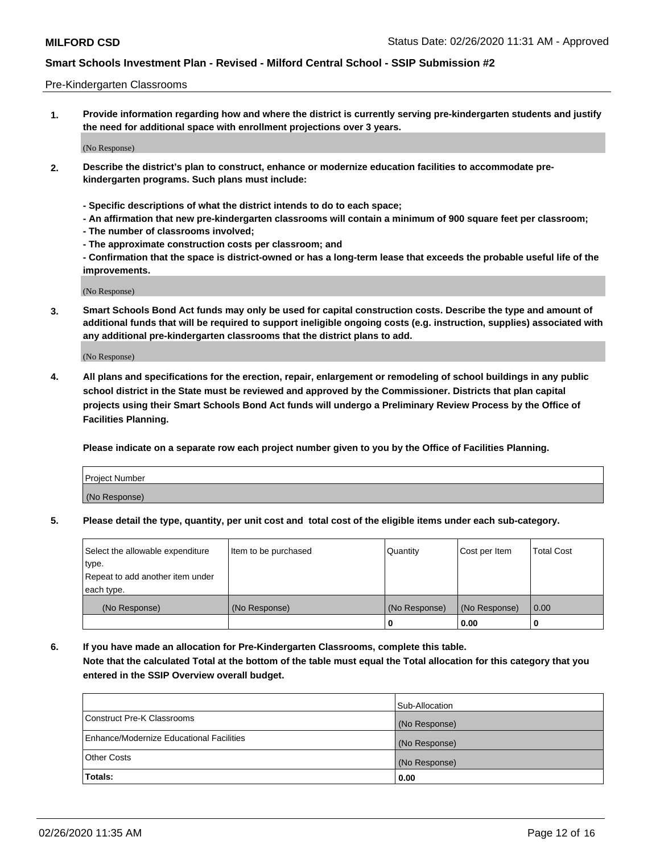#### Pre-Kindergarten Classrooms

**1. Provide information regarding how and where the district is currently serving pre-kindergarten students and justify the need for additional space with enrollment projections over 3 years.**

(No Response)

- **2. Describe the district's plan to construct, enhance or modernize education facilities to accommodate prekindergarten programs. Such plans must include:**
	- **Specific descriptions of what the district intends to do to each space;**
	- **An affirmation that new pre-kindergarten classrooms will contain a minimum of 900 square feet per classroom;**
	- **The number of classrooms involved;**
	- **The approximate construction costs per classroom; and**
	- **Confirmation that the space is district-owned or has a long-term lease that exceeds the probable useful life of the improvements.**

(No Response)

**3. Smart Schools Bond Act funds may only be used for capital construction costs. Describe the type and amount of additional funds that will be required to support ineligible ongoing costs (e.g. instruction, supplies) associated with any additional pre-kindergarten classrooms that the district plans to add.**

(No Response)

**4. All plans and specifications for the erection, repair, enlargement or remodeling of school buildings in any public school district in the State must be reviewed and approved by the Commissioner. Districts that plan capital projects using their Smart Schools Bond Act funds will undergo a Preliminary Review Process by the Office of Facilities Planning.**

**Please indicate on a separate row each project number given to you by the Office of Facilities Planning.**

| Project Number |  |
|----------------|--|
| (No Response)  |  |
|                |  |

**5. Please detail the type, quantity, per unit cost and total cost of the eligible items under each sub-category.**

| Select the allowable expenditure | Item to be purchased | Quantity      | Cost per Item | <b>Total Cost</b> |
|----------------------------------|----------------------|---------------|---------------|-------------------|
| type.                            |                      |               |               |                   |
| Repeat to add another item under |                      |               |               |                   |
| each type.                       |                      |               |               |                   |
| (No Response)                    | (No Response)        | (No Response) | (No Response) | 0.00              |
|                                  |                      | U             | 0.00          |                   |

**6. If you have made an allocation for Pre-Kindergarten Classrooms, complete this table. Note that the calculated Total at the bottom of the table must equal the Total allocation for this category that you entered in the SSIP Overview overall budget.**

| Totals:                                  | 0.00           |
|------------------------------------------|----------------|
| <b>Other Costs</b>                       | (No Response)  |
| Enhance/Modernize Educational Facilities | (No Response)  |
| Construct Pre-K Classrooms               | (No Response)  |
|                                          | Sub-Allocation |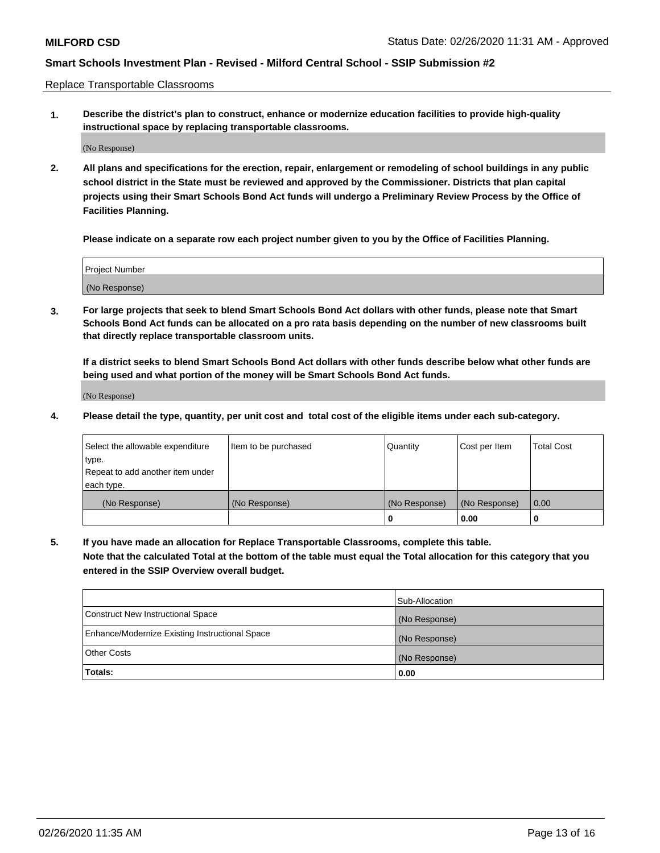Replace Transportable Classrooms

**1. Describe the district's plan to construct, enhance or modernize education facilities to provide high-quality instructional space by replacing transportable classrooms.**

(No Response)

**2. All plans and specifications for the erection, repair, enlargement or remodeling of school buildings in any public school district in the State must be reviewed and approved by the Commissioner. Districts that plan capital projects using their Smart Schools Bond Act funds will undergo a Preliminary Review Process by the Office of Facilities Planning.**

**Please indicate on a separate row each project number given to you by the Office of Facilities Planning.**

| Project Number |  |
|----------------|--|
|                |  |
| (No Response)  |  |

**3. For large projects that seek to blend Smart Schools Bond Act dollars with other funds, please note that Smart Schools Bond Act funds can be allocated on a pro rata basis depending on the number of new classrooms built that directly replace transportable classroom units.**

**If a district seeks to blend Smart Schools Bond Act dollars with other funds describe below what other funds are being used and what portion of the money will be Smart Schools Bond Act funds.**

(No Response)

**4. Please detail the type, quantity, per unit cost and total cost of the eligible items under each sub-category.**

| Select the allowable expenditure | Item to be purchased | Quantity      | Cost per Item | Total Cost |
|----------------------------------|----------------------|---------------|---------------|------------|
| ∣type.                           |                      |               |               |            |
| Repeat to add another item under |                      |               |               |            |
| each type.                       |                      |               |               |            |
| (No Response)                    | (No Response)        | (No Response) | (No Response) | 0.00       |
|                                  |                      | u             | 0.00          |            |

**5. If you have made an allocation for Replace Transportable Classrooms, complete this table. Note that the calculated Total at the bottom of the table must equal the Total allocation for this category that you entered in the SSIP Overview overall budget.**

|                                                | Sub-Allocation |
|------------------------------------------------|----------------|
| Construct New Instructional Space              | (No Response)  |
| Enhance/Modernize Existing Instructional Space | (No Response)  |
| Other Costs                                    | (No Response)  |
| Totals:                                        | 0.00           |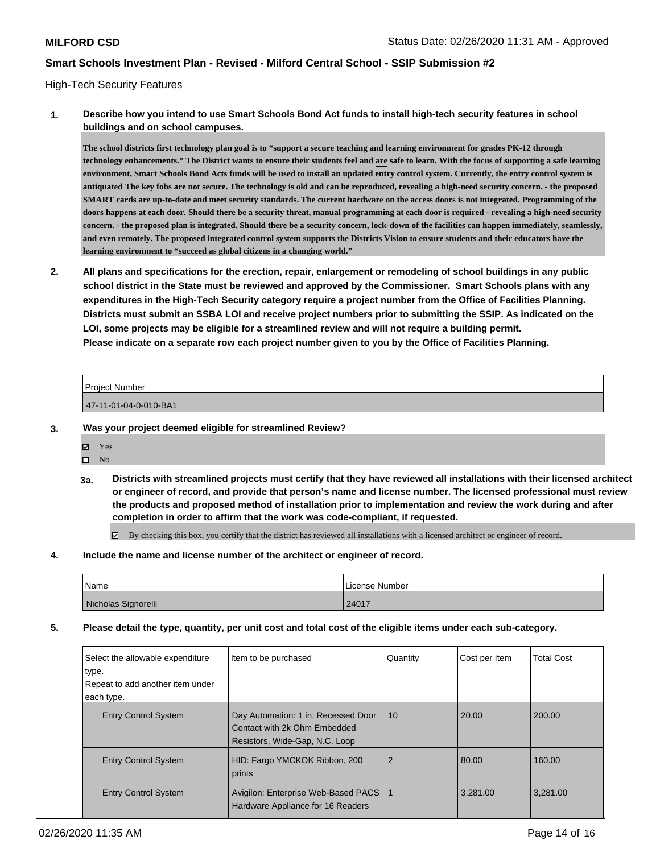#### High-Tech Security Features

## **1. Describe how you intend to use Smart Schools Bond Act funds to install high-tech security features in school buildings and on school campuses.**

**The school districts first technology plan goal is to "support a secure teaching and learning environment for grades PK-12 through technology enhancements." The District wants to ensure their students feel and are safe to learn. With the focus of supporting a safe learning environment, Smart Schools Bond Acts funds will be used to install an updated entry control system. Currently, the entry control system is antiquated The key fobs are not secure. The technology is old and can be reproduced, revealing a high-need security concern. - the proposed SMART cards are up-to-date and meet security standards. The current hardware on the access doors is not integrated. Programming of the doors happens at each door. Should there be a security threat, manual programming at each door is required - revealing a high-need security concern. - the proposed plan is integrated. Should there be a security concern, lock-down of the facilities can happen immediately, seamlessly, and even remotely. The proposed integrated control system supports the Districts Vision to ensure students and their educators have the learning environment to "succeed as global citizens in a changing world."**

**2. All plans and specifications for the erection, repair, enlargement or remodeling of school buildings in any public school district in the State must be reviewed and approved by the Commissioner. Smart Schools plans with any expenditures in the High-Tech Security category require a project number from the Office of Facilities Planning. Districts must submit an SSBA LOI and receive project numbers prior to submitting the SSIP. As indicated on the LOI, some projects may be eligible for a streamlined review and will not require a building permit. Please indicate on a separate row each project number given to you by the Office of Facilities Planning.**

| <b>Project Number</b> |  |
|-----------------------|--|
| 47-11-01-04-0-010-BA1 |  |

- **3. Was your project deemed eligible for streamlined Review?**
	- Yes
	- $\square$  No
	- **3a. Districts with streamlined projects must certify that they have reviewed all installations with their licensed architect or engineer of record, and provide that person's name and license number. The licensed professional must review the products and proposed method of installation prior to implementation and review the work during and after completion in order to affirm that the work was code-compliant, if requested.**

 $\boxtimes$  By checking this box, you certify that the district has reviewed all installations with a licensed architect or engineer of record.

#### **4. Include the name and license number of the architect or engineer of record.**

| Name                | License Number |
|---------------------|----------------|
| Nicholas Signorelli | 24017          |

**5. Please detail the type, quantity, per unit cost and total cost of the eligible items under each sub-category.**

| Select the allowable expenditure<br>type.<br>Repeat to add another item under<br>each type. | Item to be purchased                                                                                  | Quantity       | Cost per Item | <b>Total Cost</b> |
|---------------------------------------------------------------------------------------------|-------------------------------------------------------------------------------------------------------|----------------|---------------|-------------------|
| <b>Entry Control System</b>                                                                 | Day Automation: 1 in. Recessed Door<br>Contact with 2k Ohm Embedded<br>Resistors, Wide-Gap, N.C. Loop | 10             | 20.00         | 200.00            |
| <b>Entry Control System</b>                                                                 | HID: Fargo YMCKOK Ribbon, 200<br>prints                                                               | $\overline{2}$ | 80.00         | 160.00            |
| <b>Entry Control System</b>                                                                 | Avigilon: Enterprise Web-Based PACS<br>Hardware Appliance for 16 Readers                              | l 1            | 3.281.00      | 3.281.00          |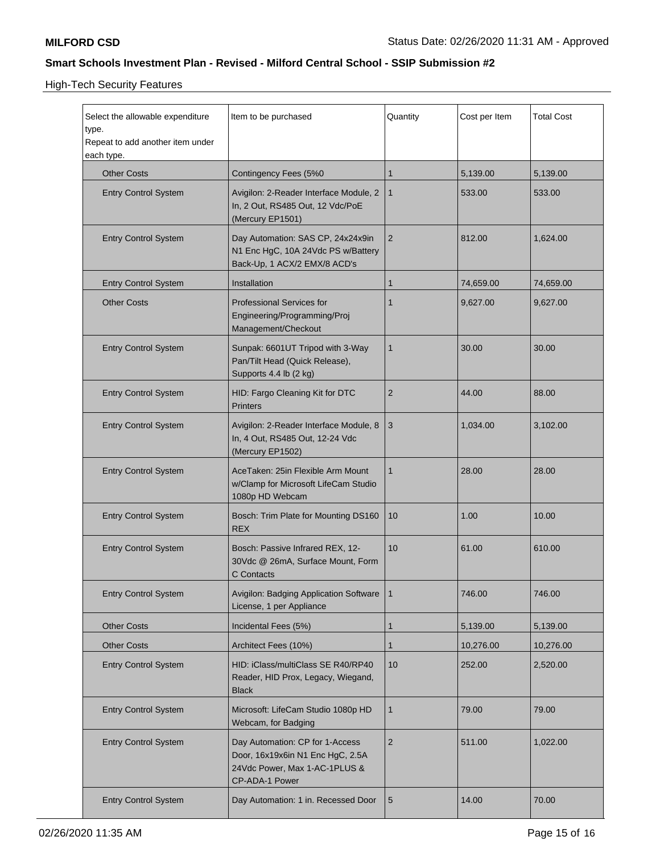High-Tech Security Features

| Select the allowable expenditure<br>type.<br>Repeat to add another item under<br>each type. | Item to be purchased                                                                                                   | Quantity       | Cost per Item | <b>Total Cost</b> |
|---------------------------------------------------------------------------------------------|------------------------------------------------------------------------------------------------------------------------|----------------|---------------|-------------------|
| <b>Other Costs</b>                                                                          | Contingency Fees (5%0                                                                                                  | 1              | 5,139.00      | 5,139.00          |
| <b>Entry Control System</b>                                                                 | Avigilon: 2-Reader Interface Module, 2<br>In, 2 Out, RS485 Out, 12 Vdc/PoE<br>(Mercury EP1501)                         | $\mathbf{1}$   | 533.00        | 533.00            |
| <b>Entry Control System</b>                                                                 | Day Automation: SAS CP, 24x24x9in<br>N1 Enc HgC, 10A 24Vdc PS w/Battery<br>Back-Up, 1 ACX/2 EMX/8 ACD's                | 2              | 812.00        | 1,624.00          |
| <b>Entry Control System</b>                                                                 | Installation                                                                                                           | $\mathbf{1}$   | 74,659.00     | 74,659.00         |
| <b>Other Costs</b>                                                                          | <b>Professional Services for</b><br>Engineering/Programming/Proj<br>Management/Checkout                                | 1              | 9,627.00      | 9,627.00          |
| <b>Entry Control System</b>                                                                 | Sunpak: 6601UT Tripod with 3-Way<br>Pan/Tilt Head (Quick Release),<br>Supports 4.4 lb (2 kg)                           | $\mathbf{1}$   | 30.00         | 30.00             |
| <b>Entry Control System</b>                                                                 | HID: Fargo Cleaning Kit for DTC<br><b>Printers</b>                                                                     | $\overline{2}$ | 44.00         | 88.00             |
| <b>Entry Control System</b>                                                                 | Avigilon: 2-Reader Interface Module, 8<br>In, 4 Out, RS485 Out, 12-24 Vdc<br>(Mercury EP1502)                          | 3              | 1,034.00      | 3,102.00          |
| <b>Entry Control System</b>                                                                 | AceTaken: 25in Flexible Arm Mount<br>w/Clamp for Microsoft LifeCam Studio<br>1080p HD Webcam                           | $\mathbf{1}$   | 28.00         | 28.00             |
| <b>Entry Control System</b>                                                                 | Bosch: Trim Plate for Mounting DS160<br><b>REX</b>                                                                     | 10             | 1.00          | 10.00             |
| <b>Entry Control System</b>                                                                 | Bosch: Passive Infrared REX, 12-<br>30Vdc @ 26mA, Surface Mount, Form<br>C Contacts                                    | 10             | 61.00         | 610.00            |
| <b>Entry Control System</b>                                                                 | Avigilon: Badging Application Software<br>License, 1 per Appliance                                                     | $\mathbf{1}$   | 746.00        | 746.00            |
| <b>Other Costs</b>                                                                          | Incidental Fees (5%)                                                                                                   | 1              | 5,139.00      | 5,139.00          |
| <b>Other Costs</b>                                                                          | Architect Fees (10%)                                                                                                   | 1              | 10,276.00     | 10,276.00         |
| <b>Entry Control System</b>                                                                 | HID: iClass/multiClass SE R40/RP40<br>Reader, HID Prox, Legacy, Wiegand,<br><b>Black</b>                               | 10             | 252.00        | 2,520.00          |
| <b>Entry Control System</b>                                                                 | Microsoft: LifeCam Studio 1080p HD<br>Webcam, for Badging                                                              | $\mathbf{1}$   | 79.00         | 79.00             |
| <b>Entry Control System</b>                                                                 | Day Automation: CP for 1-Access<br>Door, 16x19x6in N1 Enc HgC, 2.5A<br>24Vdc Power, Max 1-AC-1PLUS &<br>CP-ADA-1 Power | $\sqrt{2}$     | 511.00        | 1,022.00          |
| <b>Entry Control System</b>                                                                 | Day Automation: 1 in. Recessed Door                                                                                    | $\sqrt{5}$     | 14.00         | 70.00             |